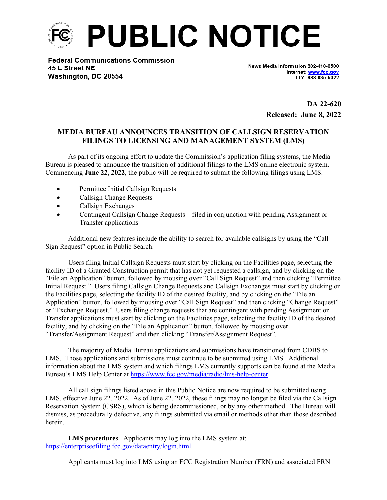

**Federal Communications Commission** 45 L Street NE Washington, DC 20554

News Media Information 202-418-0500 Internet: www.fcc.gov TTY: 888-835-5322

> **DA 22-620 Released: June 8, 2022**

## **MEDIA BUREAU ANNOUNCES TRANSITION OF CALLSIGN RESERVATION FILINGS TO LICENSING AND MANAGEMENT SYSTEM (LMS)**

As part of its ongoing effort to update the Commission's application filing systems, the Media Bureau is pleased to announce the transition of additional filings to the LMS online electronic system. Commencing **June 22, 2022**, the public will be required to submit the following filings using LMS:

- Permittee Initial Callsign Requests
- Callsign Change Requests
- Callsign Exchanges
- Contingent Callsign Change Requests filed in conjunction with pending Assignment or Transfer applications

Additional new features include the ability to search for available callsigns by using the "Call Sign Request" option in Public Search.

Users filing Initial Callsign Requests must start by clicking on the Facilities page, selecting the facility ID of a Granted Construction permit that has not yet requested a callsign, and by clicking on the "File an Application" button, followed by mousing over "Call Sign Request" and then clicking "Permittee Initial Request." Users filing Callsign Change Requests and Callsign Exchanges must start by clicking on the Facilities page, selecting the facility ID of the desired facility, and by clicking on the "File an Application" button, followed by mousing over "Call Sign Request" and then clicking "Change Request" or "Exchange Request." Users filing change requests that are contingent with pending Assignment or Transfer applications must start by clicking on the Facilities page, selecting the facility ID of the desired facility, and by clicking on the "File an Application" button, followed by mousing over "Transfer/Assignment Request" and then clicking "Transfer/Assignment Request".

The majority of Media Bureau applications and submissions have transitioned from CDBS to LMS. Those applications and submissions must continue to be submitted using LMS. Additional information about the LMS system and which filings LMS currently supports can be found at the Media Bureau's LMS Help Center at <https://www.fcc.gov/media/radio/lms-help-center>.

All call sign filings listed above in this Public Notice are now required to be submitted using LMS, effective June 22, 2022. As of June 22, 2022, these filings may no longer be filed via the Callsign Reservation System (CSRS), which is being decommissioned, or by any other method. The Bureau will dismiss, as procedurally defective, any filings submitted via email or methods other than those described herein.

**LMS procedures**. Applicants may log into the LMS system at: [https://enterpriseefiling.fcc.gov/dataentry/login.html.](https://enterpriseefiling.fcc.gov/dataentry/login.html)

Applicants must log into LMS using an FCC Registration Number (FRN) and associated FRN